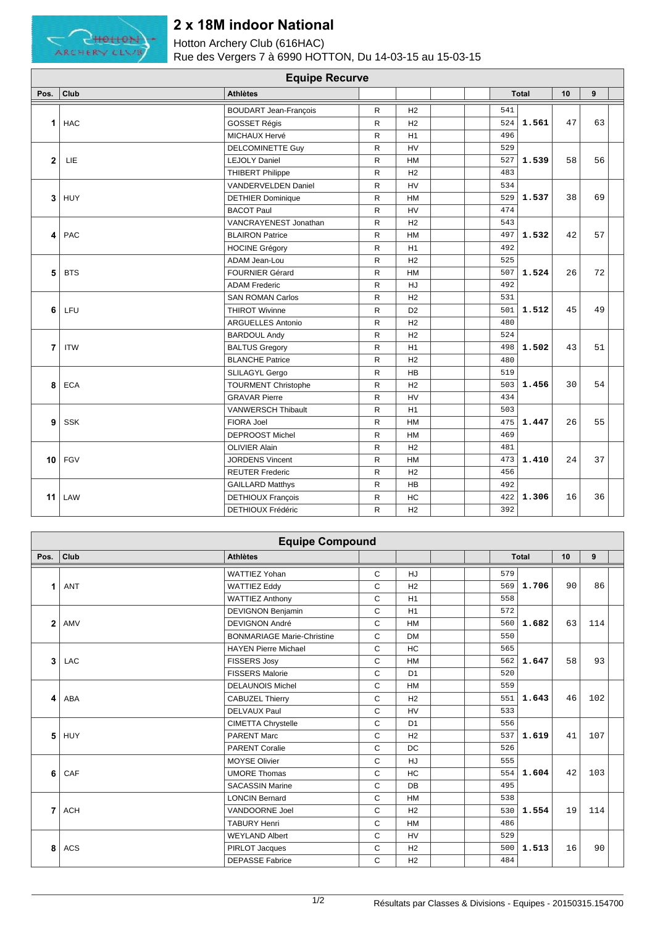

## **2 x 18M indoor National**

Hotton Archery Club (616HAC) Rue des Vergers 7 à 6990 HOTTON, Du 14-03-15 au 15-03-15

| <b>Equipe Recurve</b>   |            |                              |              |                |  |  |     |              |    |    |  |
|-------------------------|------------|------------------------------|--------------|----------------|--|--|-----|--------------|----|----|--|
| Pos.                    | Club       | <b>Athlètes</b>              |              |                |  |  |     | <b>Total</b> | 10 | 9  |  |
| 1                       | <b>HAC</b> | <b>BOUDART Jean-François</b> | R            | H2             |  |  | 541 |              | 47 | 63 |  |
|                         |            | GOSSET Régis                 | $\mathsf{R}$ | H2             |  |  | 524 | 1.561        |    |    |  |
|                         |            | MICHAUX Hervé                | ${\sf R}$    | H1             |  |  | 496 |              |    |    |  |
| $\overline{2}$          | LIE        | <b>DELCOMINETTE Guy</b>      | $\mathsf{R}$ | HV             |  |  | 529 | 1.539        | 58 | 56 |  |
|                         |            | <b>LEJOLY Daniel</b>         | ${\sf R}$    | HM             |  |  | 527 |              |    |    |  |
|                         |            | <b>THIBERT Philippe</b>      | R            | H2             |  |  | 483 |              |    |    |  |
| 3                       | HUY        | VANDERVELDEN Daniel          | $\mathsf{R}$ | HV             |  |  | 534 | 1.537        | 38 | 69 |  |
|                         |            | <b>DETHIER Dominique</b>     | $\mathsf{R}$ | <b>HM</b>      |  |  | 529 |              |    |    |  |
|                         |            | <b>BACOT Paul</b>            | $\mathsf{R}$ | <b>HV</b>      |  |  | 474 |              |    |    |  |
| $\overline{\mathbf{A}}$ | PAC        | VANCRAYENEST Jonathan        | R            | H2             |  |  | 543 |              | 42 | 57 |  |
|                         |            | <b>BLAIRON Patrice</b>       | $\mathsf{R}$ | <b>HM</b>      |  |  | 497 | 1.532        |    |    |  |
|                         |            | <b>HOCINE Grégory</b>        | ${\sf R}$    | H1             |  |  | 492 |              |    |    |  |
| 5                       | <b>BTS</b> | ADAM Jean-Lou                | $\mathsf{R}$ | H2             |  |  | 525 |              | 26 | 72 |  |
|                         |            | <b>FOURNIER Gérard</b>       | R            | <b>HM</b>      |  |  | 507 | 1.524        |    |    |  |
|                         |            | <b>ADAM Frederic</b>         | R            | HJ             |  |  | 492 |              |    |    |  |
|                         | LFU        | <b>SAN ROMAN Carlos</b>      | $\mathsf{R}$ | H2             |  |  | 531 | 1.512        | 45 |    |  |
| 6                       |            | <b>THIROT Wivinne</b>        | $\mathsf{R}$ | D <sub>2</sub> |  |  | 501 |              |    | 49 |  |
|                         |            | <b>ARGUELLES Antonio</b>     | $\mathsf{R}$ | H2             |  |  | 480 |              |    |    |  |
|                         | <b>ITW</b> | <b>BARDOUL Andy</b>          | R            | H2             |  |  | 524 |              | 43 | 51 |  |
| 7                       |            | <b>BALTUS Gregory</b>        | $\mathsf{R}$ | H1             |  |  | 498 | 1.502        |    |    |  |
|                         |            | <b>BLANCHE Patrice</b>       | ${\sf R}$    | H2             |  |  | 480 |              |    |    |  |
| 8                       | <b>ECA</b> | SLILAGYL Gergo               | $\mathsf{R}$ | <b>HB</b>      |  |  | 519 |              | 30 | 54 |  |
|                         |            | <b>TOURMENT Christophe</b>   | R            | H2             |  |  | 503 | 1.456        |    |    |  |
|                         |            | <b>GRAVAR Pierre</b>         | R            | HV             |  |  | 434 |              |    |    |  |
| 9                       | SSK        | VANWERSCH Thibault           | $\mathsf{R}$ | H1             |  |  | 503 |              | 26 | 55 |  |
|                         |            | FIORA Joel                   | $\mathsf{R}$ | <b>HM</b>      |  |  | 475 | 1.447        |    |    |  |
|                         |            | <b>DEPROOST Michel</b>       | $\mathsf{R}$ | HM             |  |  | 469 |              |    |    |  |
| 10                      | FGV        | <b>OLIVIER Alain</b>         | R            | H2             |  |  | 481 | 1.410        | 24 | 37 |  |
|                         |            | <b>JORDENS Vincent</b>       | $\mathsf{R}$ | HM             |  |  | 473 |              |    |    |  |
|                         |            | <b>REUTER Frederic</b>       | ${\sf R}$    | H2             |  |  | 456 |              |    |    |  |
| 11                      | LAW        | <b>GAILLARD Matthys</b>      | ${\sf R}$    | <b>HB</b>      |  |  | 492 |              | 16 | 36 |  |
|                         |            | <b>DETHIOUX François</b>     | $\mathsf{R}$ | HC             |  |  | 422 | 1.306        |    |    |  |
|                         |            | DETHIOUX Frédéric            | R            | H2             |  |  | 392 |              |    |    |  |

| <b>Equipe Compound</b> |            |                                   |              |                |  |  |     |              |    |     |  |
|------------------------|------------|-----------------------------------|--------------|----------------|--|--|-----|--------------|----|-----|--|
| Pos.                   | Club       | <b>Athlètes</b>                   |              |                |  |  |     | <b>Total</b> | 10 | 9   |  |
|                        | <b>ANT</b> | <b>WATTIEZ Yohan</b>              | $\mathsf{C}$ | <b>HJ</b>      |  |  | 579 | 1.706        | 90 | 86  |  |
|                        |            | <b>WATTIEZ Eddy</b>               | $\mathbf C$  | H <sub>2</sub> |  |  | 569 |              |    |     |  |
|                        |            | <b>WATTIEZ Anthony</b>            | $\mathbf C$  | H1             |  |  | 558 |              |    |     |  |
| $\overline{2}$         | AMV        | <b>DEVIGNON Benjamin</b>          | C            | H1             |  |  | 572 | 1.682        | 63 | 114 |  |
|                        |            | <b>DEVIGNON André</b>             | $\mathsf{C}$ | <b>HM</b>      |  |  | 560 |              |    |     |  |
|                        |            | <b>BONMARIAGE Marie-Christine</b> | $\mathsf{C}$ | <b>DM</b>      |  |  | 550 |              |    |     |  |
| 3                      | LAC        | <b>HAYEN Pierre Michael</b>       | $\mathsf{C}$ | <b>HC</b>      |  |  | 565 | 1.647        | 58 | 93  |  |
|                        |            | <b>FISSERS Josy</b>               | $\mathsf{C}$ | <b>HM</b>      |  |  | 562 |              |    |     |  |
|                        |            | <b>FISSERS Malorie</b>            | C            | D <sub>1</sub> |  |  | 520 |              |    |     |  |
| 4                      | ABA        | <b>DELAUNOIS Michel</b>           | C            | <b>HM</b>      |  |  | 559 |              | 46 | 102 |  |
|                        |            | <b>CABUZEL Thierry</b>            | C            | H <sub>2</sub> |  |  | 551 | 1.643        |    |     |  |
|                        |            | <b>DELVAUX Paul</b>               | $\mathsf{C}$ | <b>HV</b>      |  |  | 533 |              |    |     |  |
| 5                      | HUY        | <b>CIMETTA Chrystelle</b>         | C            | D <sub>1</sub> |  |  | 556 | 1.619        | 41 | 107 |  |
|                        |            | <b>PARENT Marc</b>                | $\mathsf{C}$ | H <sub>2</sub> |  |  | 537 |              |    |     |  |
|                        |            | <b>PARENT Coralie</b>             | C            | <b>DC</b>      |  |  | 526 |              |    |     |  |
| 6                      | CAF        | <b>MOYSE Olivier</b>              | C            | <b>HJ</b>      |  |  | 555 | 1.604        | 42 | 103 |  |
|                        |            | <b>UMORE Thomas</b>               | $\mathsf{C}$ | <b>HC</b>      |  |  | 554 |              |    |     |  |
|                        |            | <b>SACASSIN Marine</b>            | $\mathsf{C}$ | <b>DB</b>      |  |  | 495 |              |    |     |  |
| 7                      | <b>ACH</b> | <b>LONCIN Bernard</b>             | $\mathsf{C}$ | <b>HM</b>      |  |  | 538 | 1.554        | 19 | 114 |  |
|                        |            | VANDOORNE Joel                    | $\mathsf{C}$ | H <sub>2</sub> |  |  | 530 |              |    |     |  |
|                        |            | <b>TABURY Henri</b>               | C            | <b>HM</b>      |  |  | 486 |              |    |     |  |
| 8                      | <b>ACS</b> | <b>WEYLAND Albert</b>             | C            | <b>HV</b>      |  |  | 529 | 1.513        | 16 | 90  |  |
|                        |            | PIRLOT Jacques                    | C            | H <sub>2</sub> |  |  | 500 |              |    |     |  |
|                        |            | <b>DEPASSE Fabrice</b>            | $\mathsf{C}$ | H2             |  |  | 484 |              |    |     |  |